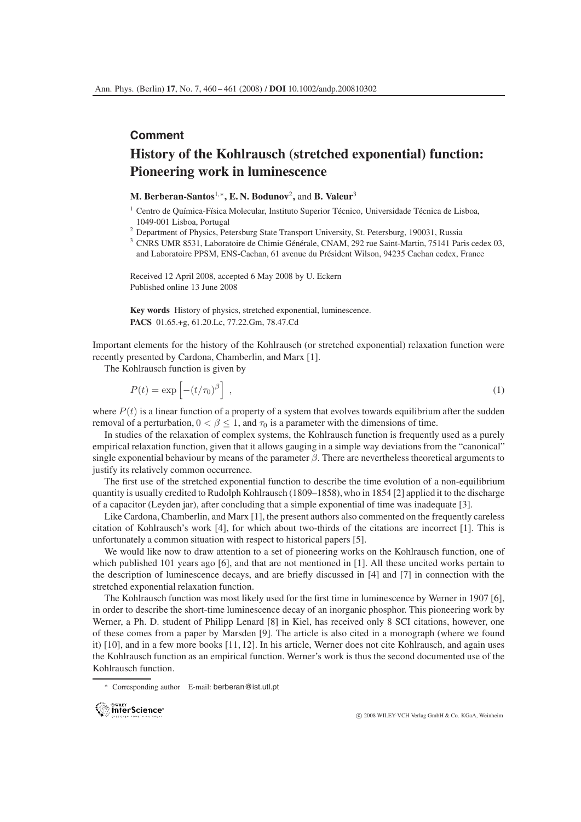## **Comment**

## **History of the Kohlrausch (stretched exponential) function: Pioneering work in luminescence**

## **M. Berberan-Santos**1,∗**, E. N. Bodunov**2**,** and **B. Valeur**<sup>3</sup>

- $1$  Centro de Química-Física Molecular, Instituto Superior Técnico, Universidade Técnica de Lisboa, 1049-001 Lisboa, Portugal
- <sup>2</sup> Department of Physics, Petersburg State Transport University, St. Petersburg, 190031, Russia
- <sup>3</sup> CNRS UMR 8531, Laboratoire de Chimie Générale, CNAM, 292 rue Saint-Martin, 75141 Paris cedex 03, and Laboratoire PPSM, ENS-Cachan, 61 avenue du Président Wilson, 94235 Cachan cedex, France

Received 12 April 2008, accepted 6 May 2008 by U. Eckern Published online 13 June 2008

**Key words** History of physics, stretched exponential, luminescence. **PACS** 01.65.+g, 61.20.Lc, 77.22.Gm, 78.47.Cd

Important elements for the history of the Kohlrausch (or stretched exponential) relaxation function were recently presented by Cardona, Chamberlin, and Marx [1].

The Kohlrausch function is given by

$$
P(t) = \exp\left[-\left(t/\tau_0\right)^{\beta}\right],\tag{1}
$$

where  $P(t)$  is a linear function of a property of a system that evolves towards equilibrium after the sudden removal of a perturbation,  $0 < \beta < 1$ , and  $\tau_0$  is a parameter with the dimensions of time.

In studies of the relaxation of complex systems, the Kohlrausch function is frequently used as a purely empirical relaxation function, given that it allows gauging in a simple way deviations from the "canonical" single exponential behaviour by means of the parameter  $\beta$ . There are nevertheless theoretical arguments to justify its relatively common occurrence.

The first use of the stretched exponential function to describe the time evolution of a non-equilibrium quantity is usually credited to Rudolph Kohlrausch (1809–1858), who in 1854 [2] applied it to the discharge of a capacitor (Leyden jar), after concluding that a simple exponential of time was inadequate [3].

Like Cardona, Chamberlin, and Marx [1], the present authors also commented on the frequently careless citation of Kohlrausch's work [4], for which about two-thirds of the citations are incorrect [1]. This is unfortunately a common situation with respect to historical papers [5].

We would like now to draw attention to a set of pioneering works on the Kohlrausch function, one of which published 101 years ago [6], and that are not mentioned in [1]. All these uncited works pertain to the description of luminescence decays, and are briefly discussed in [4] and [7] in connection with the stretched exponential relaxation function.

The Kohlrausch function was most likely used for the first time in luminescence by Werner in 1907 [6], in order to describe the short-time luminescence decay of an inorganic phosphor. This pioneering work by Werner, a Ph. D. student of Philipp Lenard [8] in Kiel, has received only 8 SCI citations, however, one of these comes from a paper by Marsden [9]. The article is also cited in a monograph (where we found it) [10], and in a few more books [11, 12]. In his article, Werner does not cite Kohlrausch, and again uses the Kohlrausch function as an empirical function. Werner's work is thus the second documented use of the Kohlrausch function.

<sup>∗</sup> Corresponding author E-mail: berberan@ist.utl.pt



c 2008 WILEY-VCH Verlag GmbH & Co. KGaA, Weinheim